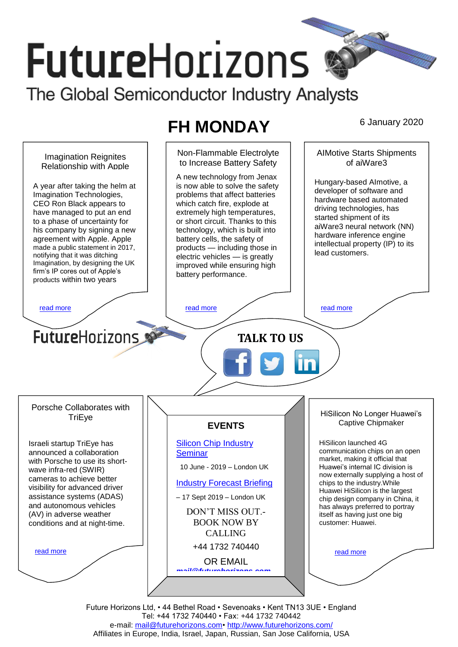# **FutureHorizons** The Global Semiconductor Industry Analysts

## **FH MONDAY** 6 January 2020



Future Horizons Ltd, • 44 Bethel Road • Sevenoaks • Kent TN13 3UE • England Tel: +44 1732 740440 • Fax: +44 1732 740442 e-mail: [mail@futurehorizons.com•](../FH%20Monday%20-%202017/mail@futurehorizons.com)<http://www.futurehorizons.com/> Affiliates in Europe, India, Israel, Japan, Russian, San Jose California, USA